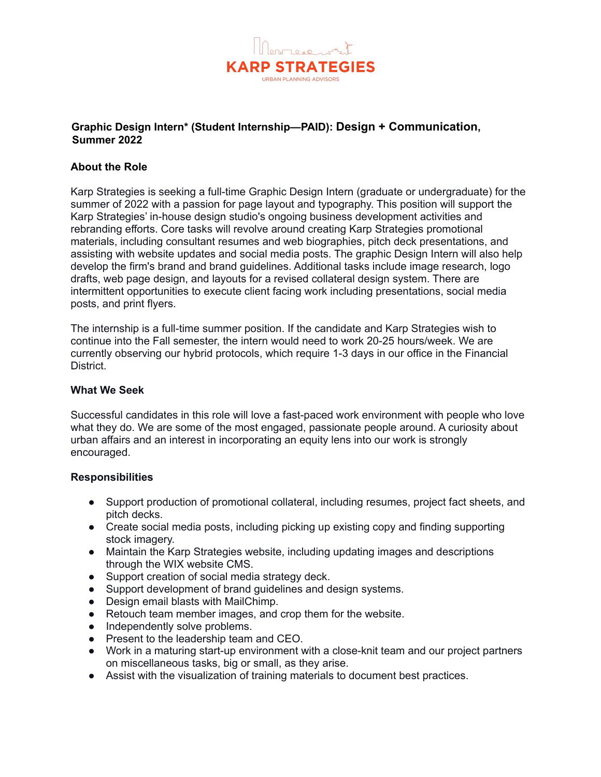

# **Graphic Design Intern\* (Student Internship—PAID): Design + Communication, Summer 2022**

## **About the Role**

Karp Strategies is seeking a full-time Graphic Design Intern (graduate or undergraduate) for the summer of 2022 with a passion for page layout and typography. This position will support the Karp Strategies' in-house design studio's ongoing business development activities and rebranding efforts. Core tasks will revolve around creating Karp Strategies promotional materials, including consultant resumes and web biographies, pitch deck presentations, and assisting with website updates and social media posts. The graphic Design Intern will also help develop the firm's brand and brand guidelines. Additional tasks include image research, logo drafts, web page design, and layouts for a revised collateral design system. There are intermittent opportunities to execute client facing work including presentations, social media posts, and print flyers.

The internship is a full-time summer position. If the candidate and Karp Strategies wish to continue into the Fall semester, the intern would need to work 20-25 hours/week. We are currently observing our hybrid protocols, which require 1-3 days in our office in the Financial District.

## **What We Seek**

Successful candidates in this role will love a fast-paced work environment with people who love what they do. We are some of the most engaged, passionate people around. A curiosity about urban affairs and an interest in incorporating an equity lens into our work is strongly encouraged.

## **Responsibilities**

- Support production of promotional collateral, including resumes, project fact sheets, and pitch decks.
- Create social media posts, including picking up existing copy and finding supporting stock imagery.
- Maintain the Karp Strategies website, including updating images and descriptions through the WIX website CMS.
- Support creation of social media strategy deck.
- Support development of brand guidelines and design systems.
- Design email blasts with MailChimp.
- Retouch team member images, and crop them for the website.
- Independently solve problems.
- Present to the leadership team and CEO.
- Work in a maturing start-up environment with a close-knit team and our project partners on miscellaneous tasks, big or small, as they arise.
- Assist with the visualization of training materials to document best practices.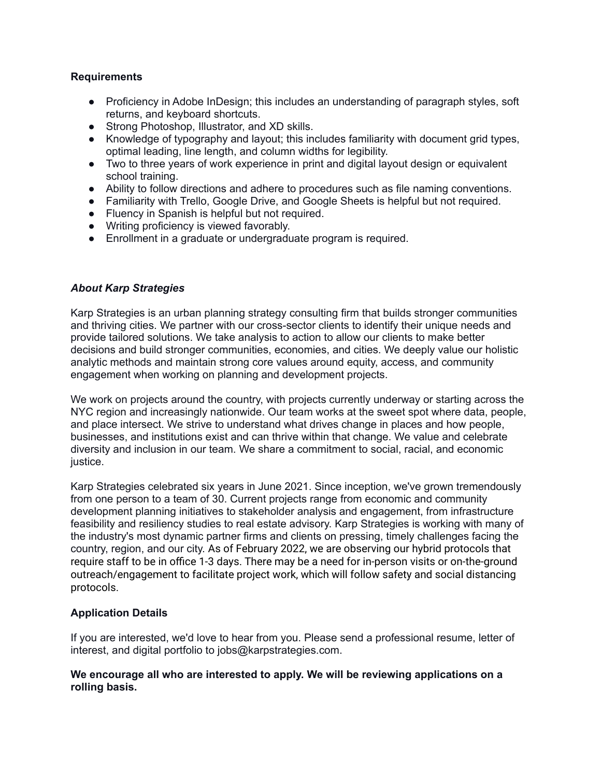### **Requirements**

- Proficiency in Adobe InDesign; this includes an understanding of paragraph styles, soft returns, and keyboard shortcuts.
- Strong Photoshop, Illustrator, and XD skills.
- Knowledge of typography and layout; this includes familiarity with document grid types, optimal leading, line length, and column widths for legibility.
- Two to three years of work experience in print and digital layout design or equivalent school training.
- Ability to follow directions and adhere to procedures such as file naming conventions.
- Familiarity with Trello, Google Drive, and Google Sheets is helpful but not required.
- Fluency in Spanish is helpful but not required.
- Writing proficiency is viewed favorably.
- Enrollment in a graduate or undergraduate program is required.

## *About Karp Strategies*

Karp Strategies is an urban planning strategy consulting firm that builds stronger communities and thriving cities. We partner with our cross-sector clients to identify their unique needs and provide tailored solutions. We take analysis to action to allow our clients to make better decisions and build stronger communities, economies, and cities. We deeply value our holistic analytic methods and maintain strong core values around equity, access, and community engagement when working on planning and development projects.

We work on projects around the country, with projects currently underway or starting across the NYC region and increasingly nationwide. Our team works at the sweet spot where data, people, and place intersect. We strive to understand what drives change in places and how people, businesses, and institutions exist and can thrive within that change. We value and celebrate diversity and inclusion in our team. We share a commitment to social, racial, and economic justice.

Karp Strategies celebrated six years in June 2021. Since inception, we've grown tremendously from one person to a team of 30. Current projects range from economic and community development planning initiatives to stakeholder analysis and engagement, from infrastructure feasibility and resiliency studies to real estate advisory. Karp Strategies is working with many of the industry's most dynamic partner firms and clients on pressing, timely challenges facing the country, region, and our city. As of February 2022, we are observing our hybrid protocols that require staff to be in office 1-3 days. There may be a need for in-person visits or on-the-ground outreach/engagement to facilitate project work, which will follow safety and social distancing protocols.

## **Application Details**

If you are interested, we'd love to hear from you. Please send a professional resume, letter of interest, and digital portfolio to jobs@karpstrategies.com.

#### **We encourage all who are interested to apply. We will be reviewing applications on a rolling basis.**